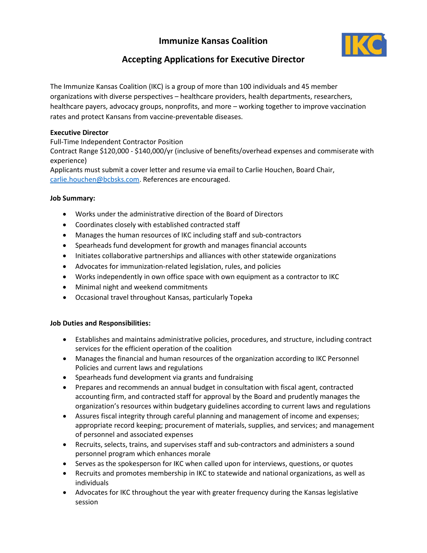## **Immunize Kansas Coalition**



# **Accepting Applications for Executive Director**

The Immunize Kansas Coalition (IKC) is a group of more than 100 individuals and 45 member organizations with diverse perspectives – healthcare providers, health departments, researchers, healthcare payers, advocacy groups, nonprofits, and more – working together to improve vaccination rates and protect Kansans from vaccine-preventable diseases.

### **Executive Director**

Full-Time Independent Contractor Position

Contract Range \$120,000 - \$140,000/yr (inclusive of benefits/overhead expenses and commiserate with experience)

Applicants must submit a cover letter and resume via email to Carlie Houchen, Board Chair, [carlie.houchen@bcbsks.com.](mailto:carlie.houchen@bcbsks.com) References are encouraged.

#### **Job Summary:**

- Works under the administrative direction of the Board of Directors
- Coordinates closely with established contracted staff
- Manages the human resources of IKC including staff and sub-contractors
- Spearheads fund development for growth and manages financial accounts
- Initiates collaborative partnerships and alliances with other statewide organizations
- Advocates for immunization-related legislation, rules, and policies
- Works independently in own office space with own equipment as a contractor to IKC
- Minimal night and weekend commitments
- Occasional travel throughout Kansas, particularly Topeka

#### **Job Duties and Responsibilities:**

- Establishes and maintains administrative policies, procedures, and structure, including contract services for the efficient operation of the coalition
- Manages the financial and human resources of the organization according to IKC Personnel Policies and current laws and regulations
- Spearheads fund development via grants and fundraising
- Prepares and recommends an annual budget in consultation with fiscal agent, contracted accounting firm, and contracted staff for approval by the Board and prudently manages the organization's resources within budgetary guidelines according to current laws and regulations
- Assures fiscal integrity through careful planning and management of income and expenses; appropriate record keeping; procurement of materials, supplies, and services; and management of personnel and associated expenses
- Recruits, selects, trains, and supervises staff and sub-contractors and administers a sound personnel program which enhances morale
- Serves as the spokesperson for IKC when called upon for interviews, questions, or quotes
- Recruits and promotes membership in IKC to statewide and national organizations, as well as individuals
- Advocates for IKC throughout the year with greater frequency during the Kansas legislative session